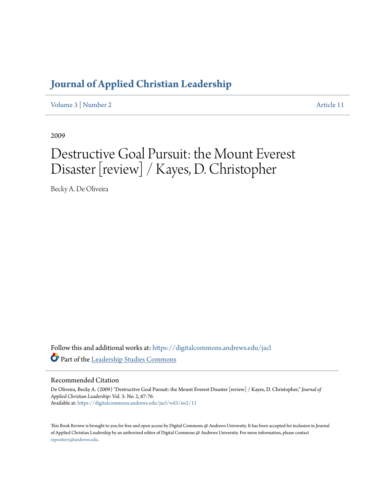## **[Journal of Applied Christian Leadership](https://digitalcommons.andrews.edu/jacl?utm_source=digitalcommons.andrews.edu%2Fjacl%2Fvol3%2Fiss2%2F11&utm_medium=PDF&utm_campaign=PDFCoverPages)**

[Volume 3](https://digitalcommons.andrews.edu/jacl/vol3?utm_source=digitalcommons.andrews.edu%2Fjacl%2Fvol3%2Fiss2%2F11&utm_medium=PDF&utm_campaign=PDFCoverPages) | [Number 2](https://digitalcommons.andrews.edu/jacl/vol3/iss2?utm_source=digitalcommons.andrews.edu%2Fjacl%2Fvol3%2Fiss2%2F11&utm_medium=PDF&utm_campaign=PDFCoverPages) [Article 11](https://digitalcommons.andrews.edu/jacl/vol3/iss2/11?utm_source=digitalcommons.andrews.edu%2Fjacl%2Fvol3%2Fiss2%2F11&utm_medium=PDF&utm_campaign=PDFCoverPages)

2009

# Destructive Goal Pursuit: the Mount Everest Disaster [review] / Kayes, D. Christopher

Becky A. De Oliveira

Follow this and additional works at: [https://digitalcommons.andrews.edu/jacl](https://digitalcommons.andrews.edu/jacl?utm_source=digitalcommons.andrews.edu%2Fjacl%2Fvol3%2Fiss2%2F11&utm_medium=PDF&utm_campaign=PDFCoverPages) Part of the [Leadership Studies Commons](http://network.bepress.com/hgg/discipline/1250?utm_source=digitalcommons.andrews.edu%2Fjacl%2Fvol3%2Fiss2%2F11&utm_medium=PDF&utm_campaign=PDFCoverPages)

#### Recommended Citation

De Oliveira, Becky A. (2009) "Destructive Goal Pursuit: the Mount Everest Disaster [review] / Kayes, D. Christopher," *Journal of Applied Christian Leadership*: Vol. 3: No. 2, 67-76. Available at: [https://digitalcommons.andrews.edu/jacl/vol3/iss2/11](https://digitalcommons.andrews.edu/jacl/vol3/iss2/11?utm_source=digitalcommons.andrews.edu%2Fjacl%2Fvol3%2Fiss2%2F11&utm_medium=PDF&utm_campaign=PDFCoverPages)

This Book Review is brought to you for free and open access by Digital Commons @ Andrews University. It has been accepted for inclusion in Journal of Applied Christian Leadership by an authorized editor of Digital Commons @ Andrews University. For more information, please contact [repository@andrews.edu](mailto:repository@andrews.edu).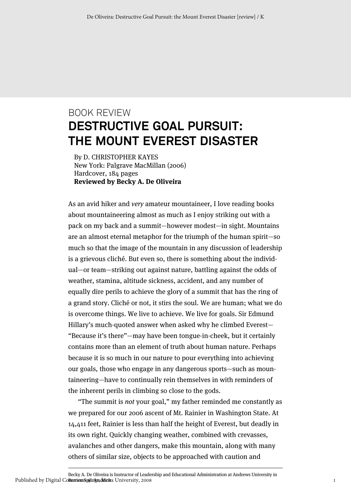## BOOK REVIEW **DESTRUCTIVE GOAL PURSUIT: THE MOUNT EVEREST DISASTER**

By D. CHRISTOPHER KAYES New York: Palgrave MacMillan (2006) Hardcover, 184 pages **Reviewed by Becky A. De Oliveira**

As an avid hiker and very amateur mountaineer, I love reading books about mountaineering almost as much as I enjoy striking out with a pack on my back and a summit—however modest—in sight. Mountains are an almost eternal metaphor for the triumph of the human spirit—so much so that the image of the mountain in any discussion of leadership is a grievous cliché. But even so, there is something about the individual—or team—striking out against nature, battling against the odds of weather, stamina, altitude sickness, accident, and any number of equally dire perils to achieve the glory of a summit that has the ring of a grand story. Cliché or not, it stirs the soul. We are human; what we do is overcome things. We live to achieve. We live for goals. Sir Edmund Hillary's much-quoted answer when asked why he climbed Everest— "Because it's there"—may have been tongue-in-cheek, but it certainly contains more than an element of truth about human nature. Perhaps because it is so much in our nature to pour everything into achieving our goals, those who engage in any dangerous sports—such as mountaineering—have to continually rein themselves in with reminders of the inherent perils in climbing so close to the gods.

"The summit is not your goal," my father reminded me constantly as we prepared for our 2006 ascent of Mt. Rainier in Washington State. At 14,411 feet, Rainier is less than half the height of Everest, but deadly in its own right. Quickly changing weather, combined with crevasses, avalanches and other dangers, make this mountain, along with many others of similar size, objects to be approached with caution and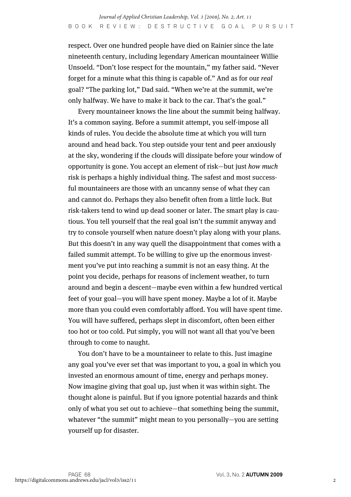respect. Over one hundred people have died on Rainier since the late nineteenth century, including legendary American mountaineer Willie Unsoeld. "Don't lose respect for the mountain," my father said. "Never forget for a minute what this thing is capable of." And as for our real goal? "The parking lot," Dad said. "When we're at the summit, we're only halfway. We have to make it back to the car. That's the goal."

Every mountaineer knows the line about the summit being halfway. It's a common saying. Before a summit attempt, you self-impose all kinds of rules. You decide the absolute time at which you will turn around and head back. You step outside your tent and peer anxiously at the sky, wondering if the clouds will dissipate before your window of opportunity is gone. You accept an element of risk—but just how much risk is perhaps a highly individual thing. The safest and most successful mountaineers are those with an uncanny sense of what they can and cannot do. Perhaps they also benefit often from a little luck. But risk-takers tend to wind up dead sooner or later. The smart play is cautious. You tell yourself that the real goal isn't the summit anyway and try to console yourself when nature doesn't play along with your plans. But this doesn't in any way quell the disappointment that comes with a failed summit attempt. To be willing to give up the enormous investment you've put into reaching a summit is not an easy thing. At the point you decide, perhaps for reasons of inclement weather, to turn around and begin a descent—maybe even within a few hundred vertical feet of your goal—you will have spent money. Maybe a lot of it. Maybe more than you could even comfortably afford. You will have spent time. You will have suffered, perhaps slept in discomfort, often been either too hot or too cold. Put simply, you will not want all that you've been through to come to naught.

You don't have to be a mountaineer to relate to this. Just imagine any goal you've ever set that was important to you, a goal in which you invested an enormous amount of time, energy and perhaps money. Now imagine giving that goal up, just when it was within sight. The thought alone is painful. But if you ignore potential hazards and think only of what you set out to achieve—that something being the summit, whatever "the summit" might mean to you personally—you are setting yourself up for disaster.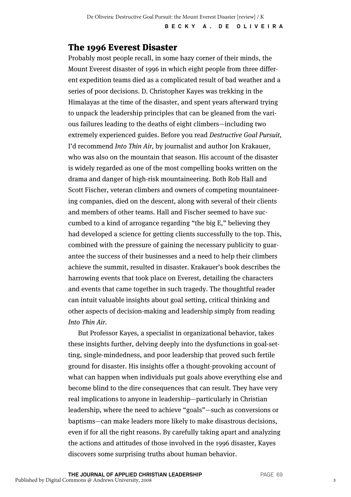#### The 1996 Everest Disaster

Probably most people recall, in some hazy corner of their minds, the Mount Everest disaster of 1996 in which eight people from three different expedition teams died as a complicated result of bad weather and a series of poor decisions. D. Christopher Kayes was trekking in the Himalayas at the time of the disaster, and spent years afterward trying to unpack the leadership principles that can be gleaned from the various failures leading to the deaths of eight climbers—including two extremely experienced guides. Before you read Destructive Goal Pursuit, I'd recommend Into Thin Air, by journalist and author Jon Krakauer, who was also on the mountain that season. His account of the disaster is widely regarded as one of the most compelling books written on the drama and danger of high-risk mountaineering. Both Rob Hall and Scott Fischer, veteran climbers and owners of competing mountaineering companies, died on the descent, along with several of their clients and members of other teams. Hall and Fischer seemed to have succumbed to a kind of arrogance regarding "the big E," believing they had developed a science for getting clients successfully to the top. This, combined with the pressure of gaining the necessary publicity to guarantee the success of their businesses and a need to help their climbers achieve the summit, resulted in disaster. Krakauer's book describes the harrowing events that took place on Everest, detailing the characters and events that came together in such tragedy. The thoughtful reader can intuit valuable insights about goal setting, critical thinking and other aspects of decision-making and leadership simply from reading Into Thin Air.

But Professor Kayes, a specialist in organizational behavior, takes these insights further, delving deeply into the dysfunctions in goal-setting, single-mindedness, and poor leadership that proved such fertile ground for disaster. His insights offer a thought-provoking account of what can happen when individuals put goals above everything else and become blind to the dire consequences that can result. They have very real implications to anyone in leadership—particularly in Christian leadership, where the need to achieve "goals"—such as conversions or baptisms—can make leaders more likely to make disastrous decisions, even if for all the right reasons. By carefully taking apart and analyzing the actions and attitudes of those involved in the 1996 disaster, Kayes discovers some surprising truths about human behavior.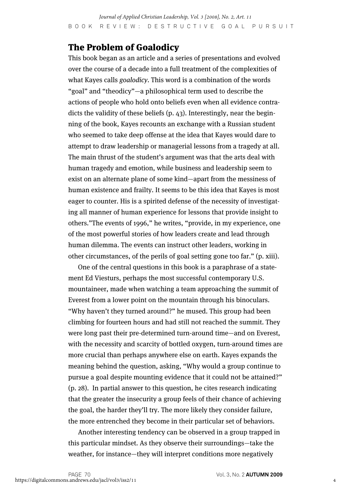#### The Problem of Goalodicy

This book began as an article and a series of presentations and evolved over the course of a decade into a full treatment of the complexities of what Kayes calls *goalodicy*. This word is a combination of the words "goal" and "theodicy"—a philosophical term used to describe the actions of people who hold onto beliefs even when all evidence contradicts the validity of these beliefs (p. 43). Interestingly, near the beginning of the book, Kayes recounts an exchange with a Russian student who seemed to take deep offense at the idea that Kayes would dare to attempt to draw leadership or managerial lessons from a tragedy at all. The main thrust of the student's argument was that the arts deal with human tragedy and emotion, while business and leadership seem to exist on an alternate plane of some kind—apart from the messiness of human existence and frailty. It seems to be this idea that Kayes is most eager to counter. His is a spirited defense of the necessity of investigating all manner of human experience for lessons that provide insight to others."The events of 1996," he writes, "provide, in my experience, one of the most powerful stories of how leaders create and lead through human dilemma. The events can instruct other leaders, working in other circumstances, of the perils of goal setting gone too far." (p. xiii).

One of the central questions in this book is a paraphrase of a statement Ed Viesturs, perhaps the most successful contemporary U.S. mountaineer, made when watching a team approaching the summit of Everest from a lower point on the mountain through his binoculars. "Why haven't they turned around?" he mused. This group had been climbing for fourteen hours and had still not reached the summit. They were long past their pre-determined turn-around time—and on Everest, with the necessity and scarcity of bottled oxygen, turn-around times are more crucial than perhaps anywhere else on earth. Kayes expands the meaning behind the question, asking, "Why would a group continue to pursue a goal despite mounting evidence that it could not be attained?" (p. 28). In partial answer to this question, he cites research indicating that the greater the insecurity a group feels of their chance of achieving the goal, the harder they'll try. The more likely they consider failure, the more entrenched they become in their particular set of behaviors.

Another interesting tendency can be observed in a group trapped in this particular mindset. As they observe their surroundings—take the weather, for instance—they will interpret conditions more negatively

4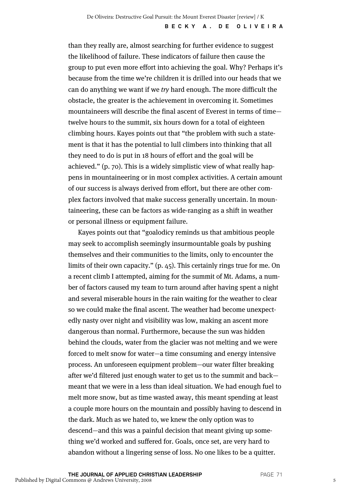than they really are, almost searching for further evidence to suggest the likelihood of failure. These indicators of failure then cause the group to put even more effort into achieving the goal. Why? Perhaps it's because from the time we're children it is drilled into our heads that we can do anything we want if we try hard enough. The more difficult the obstacle, the greater is the achievement in overcoming it. Sometimes mountaineers will describe the final ascent of Everest in terms of time twelve hours to the summit, six hours down for a total of eighteen climbing hours. Kayes points out that "the problem with such a statement is that it has the potential to lull climbers into thinking that all they need to do is put in 18 hours of effort and the goal will be achieved." (p. 70). This is a widely simplistic view of what really happens in mountaineering or in most complex activities. A certain amount of our success is always derived from effort, but there are other complex factors involved that make success generally uncertain. In mountaineering, these can be factors as wide-ranging as a shift in weather or personal illness or equipment failure.

Kayes points out that "goalodicy reminds us that ambitious people may seek to accomplish seemingly insurmountable goals by pushing themselves and their communities to the limits, only to encounter the limits of their own capacity." (p. 45). This certainly rings true for me. On a recent climb I attempted, aiming for the summit of Mt. Adams, a number of factors caused my team to turn around after having spent a night and several miserable hours in the rain waiting for the weather to clear so we could make the final ascent. The weather had become unexpectedly nasty over night and visibility was low, making an ascent more dangerous than normal. Furthermore, because the sun was hidden behind the clouds, water from the glacier was not melting and we were forced to melt snow for water—a time consuming and energy intensive process. An unforeseen equipment problem—our water filter breaking after we'd filtered just enough water to get us to the summit and back meant that we were in a less than ideal situation. We had enough fuel to melt more snow, but as time wasted away, this meant spending at least a couple more hours on the mountain and possibly having to descend in the dark. Much as we hated to, we knew the only option was to descend—and this was a painful decision that meant giving up something we'd worked and suffered for. Goals, once set, are very hard to abandon without a lingering sense of loss. No one likes to be a quitter.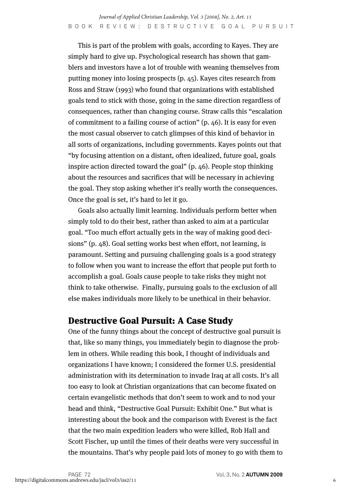This is part of the problem with goals, according to Kayes. They are simply hard to give up. Psychological research has shown that gamblers and investors have a lot of trouble with weaning themselves from putting money into losing prospects (p. 45). Kayes cites research from Ross and Straw (1993) who found that organizations with established goals tend to stick with those, going in the same direction regardless of consequences, rather than changing course. Straw calls this "escalation of commitment to a failing course of action" (p. 46). It is easy for even the most casual observer to catch glimpses of this kind of behavior in all sorts of organizations, including governments. Kayes points out that "by focusing attention on a distant, often idealized, future goal, goals inspire action directed toward the goal" (p. 46). People stop thinking about the resources and sacrifices that will be necessary in achieving the goal. They stop asking whether it's really worth the consequences. Once the goal is set, it's hard to let it go.

Goals also actually limit learning. Individuals perform better when simply told to do their best, rather than asked to aim at a particular goal. "Too much effort actually gets in the way of making good decisions" (p. 48). Goal setting works best when effort, not learning, is paramount. Setting and pursuing challenging goals is a good strategy to follow when you want to increase the effort that people put forth to accomplish a goal. Goals cause people to take risks they might not think to take otherwise. Finally, pursuing goals to the exclusion of all else makes individuals more likely to be unethical in their behavior.

#### Destructive Goal Pursuit: A Case Study

One of the funny things about the concept of destructive goal pursuit is that, like so many things, you immediately begin to diagnose the problem in others. While reading this book, I thought of individuals and organizations I have known; I considered the former U.S. presidential administration with its determination to invade Iraq at all costs. It's all too easy to look at Christian organizations that can become fixated on certain evangelistic methods that don't seem to work and to nod your head and think, "Destructive Goal Pursuit: Exhibit One." But what is interesting about the book and the comparison with Everest is the fact that the two main expedition leaders who were killed, Rob Hall and Scott Fischer, up until the times of their deaths were very successful in the mountains. That's why people paid lots of money to go with them to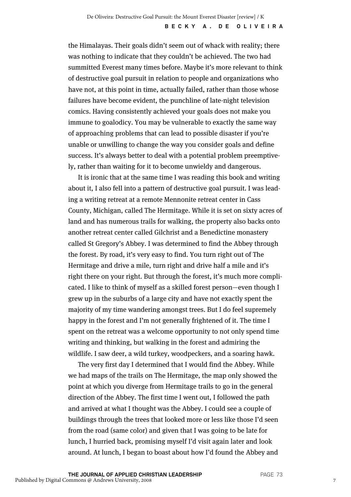the Himalayas. Their goals didn't seem out of whack with reality; there was nothing to indicate that they couldn't be achieved. The two had summitted Everest many times before. Maybe it's more relevant to think of destructive goal pursuit in relation to people and organizations who have not, at this point in time, actually failed, rather than those whose failures have become evident, the punchline of late-night television comics. Having consistently achieved your goals does not make you immune to goalodicy. You may be vulnerable to exactly the same way of approaching problems that can lead to possible disaster if you're unable or unwilling to change the way you consider goals and define success. It's always better to deal with a potential problem preemptively, rather than waiting for it to become unwieldy and dangerous.

It is ironic that at the same time I was reading this book and writing about it, I also fell into a pattern of destructive goal pursuit. I was leading a writing retreat at a remote Mennonite retreat center in Cass County, Michigan, called The Hermitage. While it is set on sixty acres of land and has numerous trails for walking, the property also backs onto another retreat center called Gilchrist and a Benedictine monastery called St Gregory's Abbey. I was determined to find the Abbey through the forest. By road, it's very easy to find. You turn right out of The Hermitage and drive a mile, turn right and drive half a mile and it's right there on your right. But through the forest, it's much more complicated. I like to think of myself as a skilled forest person—even though I grew up in the suburbs of a large city and have not exactly spent the majority of my time wandering amongst trees. But I do feel supremely happy in the forest and I'm not generally frightened of it. The time I spent on the retreat was a welcome opportunity to not only spend time writing and thinking, but walking in the forest and admiring the wildlife. I saw deer, a wild turkey, woodpeckers, and a soaring hawk.

The very first day I determined that I would find the Abbey. While we had maps of the trails on The Hermitage, the map only showed the point at which you diverge from Hermitage trails to go in the general direction of the Abbey. The first time I went out, I followed the path and arrived at what I thought was the Abbey. I could see a couple of buildings through the trees that looked more or less like those I'd seen from the road (same color) and given that I was going to be late for lunch, I hurried back, promising myself I'd visit again later and look around. At lunch, I began to boast about how I'd found the Abbey and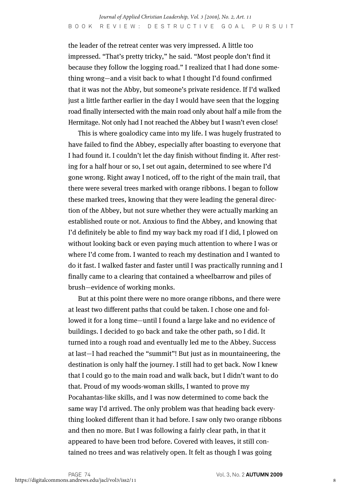the leader of the retreat center was very impressed. A little too impressed. "That's pretty tricky," he said. "Most people don't find it because they follow the logging road." I realized that I had done something wrong—and a visit back to what I thought I'd found confirmed that it was not the Abby, but someone's private residence. If I'd walked just a little farther earlier in the day I would have seen that the logging road finally intersected with the main road only about half a mile from the Hermitage. Not only had I not reached the Abbey but I wasn't even close!

This is where goalodicy came into my life. I was hugely frustrated to have failed to find the Abbey, especially after boasting to everyone that I had found it. I couldn't let the day finish without finding it. After resting for a half hour or so, I set out again, determined to see where I'd gone wrong. Right away I noticed, off to the right of the main trail, that there were several trees marked with orange ribbons. I began to follow these marked trees, knowing that they were leading the general direction of the Abbey, but not sure whether they were actually marking an established route or not. Anxious to find the Abbey, and knowing that I'd definitely be able to find my way back my road if I did, I plowed on without looking back or even paying much attention to where I was or where I'd come from. I wanted to reach my destination and I wanted to do it fast. I walked faster and faster until I was practically running and I finally came to a clearing that contained a wheelbarrow and piles of brush—evidence of working monks.

But at this point there were no more orange ribbons, and there were at least two different paths that could be taken. I chose one and followed it for a long time—until I found a large lake and no evidence of buildings. I decided to go back and take the other path, so I did. It turned into a rough road and eventually led me to the Abbey. Success at last—I had reached the "summit"! But just as in mountaineering, the destination is only half the journey. I still had to get back. Now I knew that I could go to the main road and walk back, but I didn't want to do that. Proud of my woods-woman skills, I wanted to prove my Pocahantas-like skills, and I was now determined to come back the same way I'd arrived. The only problem was that heading back everything looked different than it had before. I saw only two orange ribbons and then no more. But I was following a fairly clear path, in that it appeared to have been trod before. Covered with leaves, it still contained no trees and was relatively open. It felt as though I was going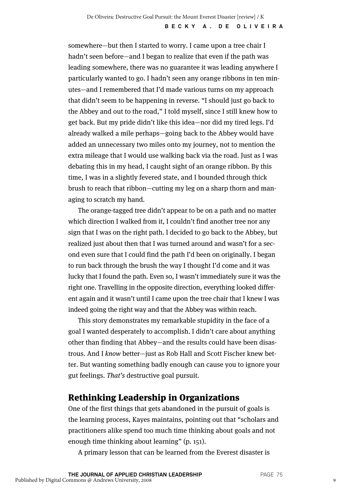somewhere—but then I started to worry. I came upon a tree chair I hadn't seen before—and I began to realize that even if the path was leading somewhere, there was no guarantee it was leading anywhere I particularly wanted to go. I hadn't seen any orange ribbons in ten minutes—and I remembered that I'd made various turns on my approach that didn't seem to be happening in reverse. "I should just go back to the Abbey and out to the road," I told myself, since I still knew how to get back. But my pride didn't like this idea—nor did my tired legs. I'd already walked a mile perhaps—going back to the Abbey would have added an unnecessary two miles onto my journey, not to mention the extra mileage that I would use walking back via the road. Just as I was debating this in my head, I caught sight of an orange ribbon. By this time, I was in a slightly fevered state, and I bounded through thick brush to reach that ribbon—cutting my leg on a sharp thorn and managing to scratch my hand.

The orange-tagged tree didn't appear to be on a path and no matter which direction I walked from it, I couldn't find another tree nor any sign that I was on the right path. I decided to go back to the Abbey, but realized just about then that I was turned around and wasn't for a second even sure that I could find the path I'd been on originally. I began to run back through the brush the way I thought I'd come and it was lucky that I found the path. Even so, I wasn't immediately sure it was the right one. Travelling in the opposite direction, everything looked different again and it wasn't until I came upon the tree chair that I knew I was indeed going the right way and that the Abbey was within reach.

This story demonstrates my remarkable stupidity in the face of a goal I wanted desperately to accomplish. I didn't care about anything other than finding that Abbey—and the results could have been disastrous. And I know better—just as Rob Hall and Scott Fischer knew better. But wanting something badly enough can cause you to ignore your gut feelings. That's destructive goal pursuit.

#### Rethinking Leadership in Organizations

One of the first things that gets abandoned in the pursuit of goals is the learning process, Kayes maintains, pointing out that "scholars and practitioners alike spend too much time thinking about goals and not enough time thinking about learning" (p. 151).

A primary lesson that can be learned from the Everest disaster is